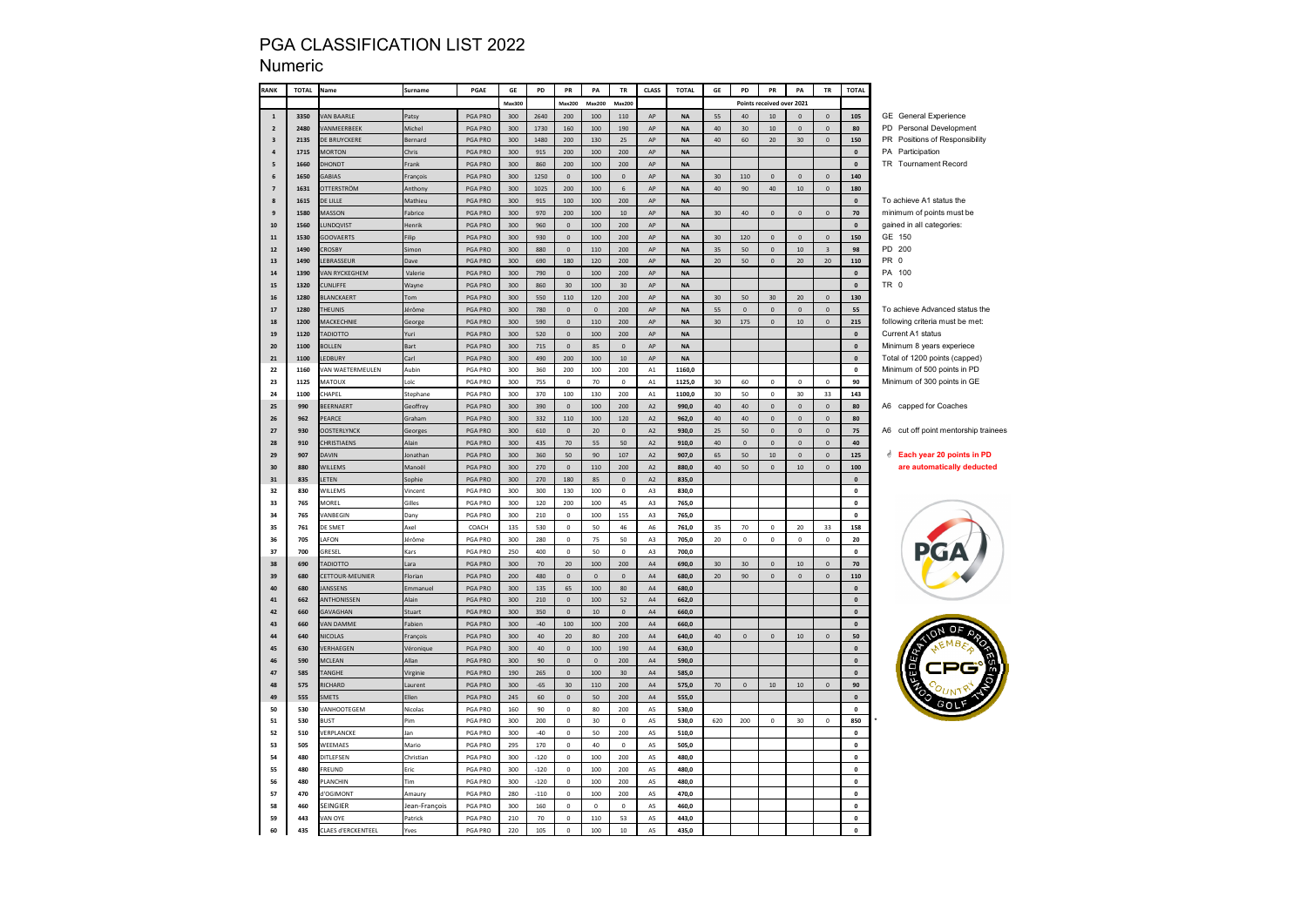| RANK           | <b>TOTAL</b> | Name                             | Surname         | PGAE               | GE         | PD            | ${\sf PR}$                 | PA                         | TR                  | <b>CLASS</b>        | <b>TOTAL</b>   | GE       | PD                  | PR                                 | PA                    | ${\tt TR}$                  | <b>TOTAL</b>       |                                                  |
|----------------|--------------|----------------------------------|-----------------|--------------------|------------|---------------|----------------------------|----------------------------|---------------------|---------------------|----------------|----------|---------------------|------------------------------------|-----------------------|-----------------------------|--------------------|--------------------------------------------------|
|                |              |                                  |                 |                    | Max300     |               | Max200                     | Max200                     | Max200              |                     |                |          |                     | Points received over 2021          |                       |                             |                    |                                                  |
| $\mathbf{1}$   | 3350         | <b>AN BAARLE</b>                 | Patsy           | PGA PRO            | 300        | 2640          | 200                        | 100                        | 110                 | AP                  | <b>NA</b>      | 55       | 40                  | 10                                 | $\mathbf 0$           | $\mathsf{O}\xspace$         | 105                | <b>GE</b> General Experience                     |
| $\mathbf 2$    | 2480         | ANMEERBEEK                       | Michel          | PGA PRO            | 300        | 1730          | 160                        | 100                        | 190                 | AP                  | NA             | 40       | 30                  | $10\,$                             | $\mathbb O$           | $\mathbf{0}$                | 80                 | PD Personal Development                          |
| 3              | 2135         | <b>DE BRUYCKERE</b>              | Bernard         | PGA PRO            | 300        | 1480          | 200                        | 130                        | 25                  | AP                  | $\sf NA$       | 40       | 60                  | 20 <sub>2</sub>                    | 30                    | $\mathbf{0}$                | 150                | PR Positions of Responsibility                   |
| $\pmb{4}$      | 1715         | <b>MORTON</b>                    | Chris           | PGA PRO            | 300        | 915           | 200                        | 100                        | 200                 | $\sf AP$            | <b>NA</b>      |          |                     |                                    |                       |                             | $\mathbf 0$        | PA Participation                                 |
| 5              | 1660         | <b>TONOHO</b>                    | Frank           | PGA PRO            | 300        | 860           | 200                        | 100                        | 200                 | AP                  | $\sf NA$       |          |                     |                                    |                       |                             | $\mathbf 0$        | TR Tournament Record                             |
| 6              | 1650         | ABIAS                            | François        | PGA PRO            | 300        | 1250          | $\mathbf 0$                | 100                        | $\mathfrak o$       | AP                  | <b>NA</b>      | 30       | 110                 | $\mathsf{o}\,$                     | $\mathbf 0$           | $\mathsf{O}\xspace$         | 140                |                                                  |
| $\overline{z}$ | 1631         | <b>ITTERSTRÖM</b>                | Anthony         | PGA PRO            | 300        | 1025          | 200                        | 100                        | $\,$ 6 $\,$         | AP                  | <b>NA</b>      | 40       | 90                  | 40                                 | $10$                  | $\mathsf{O}\xspace$         | 180                |                                                  |
| 8              | 1615         | E LILLE                          | Mathieu         | PGA PRO            | 300        | 915           | 100                        | 100                        | 200                 | $\sf AP$            | $\sf NA$       |          |                     |                                    |                       |                             | $\mathbf 0$        | To achieve A1 status the                         |
| 9              | 1580         | <b>ASSON</b>                     | Fabrice         | PGA PRO            | 300        | 970           | 200                        | 100                        | $10\,$              | AP                  | NA             | 30       | 40                  | $\mathsf{o}$                       | $\mathbb O$           | $\mathbf 0$                 | $70\,$             | minimum of points must be                        |
| 10             | 1560         | <b>UNDQVIST</b>                  | Henrik          | PGA PRO            | 300        | 960           | $\mathbf 0$                | 100                        | 200                 | AP                  | <b>NA</b>      |          |                     |                                    |                       |                             | $\pmb{0}$          | gained in all categories:                        |
| 11             | 1530         | <b>GOOVAERTS</b>                 | Filip           | PGA PRO            | 300        | 930           | $\mathbf 0$                | 100                        | 200                 | AP                  | <b>NA</b>      | 30       | 120                 | $\mathsf{o}$                       | $\mathbf 0$           | $\mathbf{0}$                | 150                | GE 150                                           |
| ${\bf 12}$     | 1490         | <b>ROSBY</b>                     | simon           | PGA PRO            | 300        | 880           | $\mathbf 0$                | 110                        | 200                 | AP                  | <b>NA</b>      | 35       | 50                  | $\mathsf{o}\,$                     | $10\,$                | $\overline{\mathbf{3}}$     | 98                 | PD 200                                           |
| 13             | 1490         | EBRASSEUR                        | Dave            | PGA PRO            | 300        | 690           | 180                        | 120                        | 200                 | AP                  | <b>NA</b>      | 20       | 50                  | $\mathbf{0}$                       | 20                    | 20                          | 110                | PR <sub>0</sub>                                  |
| ${\bf 14}$     | 1390         | AN RYCKEGHEM                     | Valerie         | PGA PRO            | 300        | 790           | $\pmb{0}$                  | 100                        | 200                 | $\sf AP$            | <b>NA</b>      |          |                     |                                    |                       |                             | $\pmb{\mathsf{o}}$ | PA 100                                           |
| 15             | 1320         | <b>UNLIFFE</b>                   | Wayne           | PGA PRO            | 300        | 860           | 30                         | 100                        | 30                  | AP                  | $\sf NA$       |          |                     |                                    |                       |                             | $\mathbf 0$        | TR 0                                             |
| 16             | 1280         | LANCKAERT                        | Tom             | PGA PRO            | 300        | 550           | 110                        | 120                        | 200                 | AP                  | NA             | 30       | 50                  | 30                                 | $20\,$                | $\mathbf 0$                 | 130                |                                                  |
| 17             | 1280         | <b>HEUNIS</b>                    | lérôme          | PGA PRO            | 300        | 780           | $\mathbf 0$                | $\mathsf{O}\xspace$        | 200                 | AP                  | $\sf NA$       | 55       | $\Omega$            | $\Omega$                           | $\mathbf{0}$          | $\Omega$                    | 55                 | To achieve Advanced status the                   |
| 18             | 1200         | <b>AACKECHNIE</b>                | George          | PGA PRO            | 300        | 590           | $\mathbf{0}$               | 110                        | 200                 | AP                  | <b>NA</b>      | 30       | 175                 | $\mathbf{0}$                       | $10\,$                | $\mathsf{O}\xspace$         | 215                | following criteria must be met:                  |
| 19             | 1120         | ADIOTTO                          | uri             | PGA PRO            | 300        | 520           | $\mathbf 0$                | 100                        | 200                 | $\sf AP$            | <b>NA</b>      |          |                     |                                    |                       |                             | $\pmb{0}$          | Current A1 status                                |
| 20             | 1100         | <b>OLLEN</b>                     | Bart            | PGA PRO            | 300        | 715           | $\mathbf 0$                | 85                         | $\mathbf 0$         | AP                  | $\sf NA$       |          |                     |                                    |                       |                             | $\pmb{0}$          | Minimum 8 years experiece                        |
| 21             | 1100         | EDBURY                           | Carl            | PGA PRO            | 300        | 490           | 200                        | $100\,$                    | $10\,$              | ${\sf AP}$          | <b>NA</b>      |          |                     |                                    |                       |                             | $\mathbf 0$        | Total of 1200 points (capped)                    |
| 22             | 1160         | AN WAETERMEULEN                  | Aubin           | PGA PRO            | 300        | 360           | 200                        | 100                        | 200                 | A1                  | 1160,0         |          |                     |                                    |                       |                             | $\mathbf 0$        | Minimum of 500 points in PD                      |
| 23             | 1125         | <b>AATOUX</b>                    | Loïc            | PGA PRO            | 300        | 755           | $\mathbf 0$                | 70                         | $\mathsf{O}$        | A1                  | 1125.0         | 30       | 60                  | $\mathsf{o}\,$                     | $\mathbf 0$           | $\mathbf 0$                 | 90                 | Minimum of 300 points in GE                      |
| 24             | 1100         | <b>HAPEL</b>                     | Stephane        | PGA PRO            | 300        | 370           | 100                        | 130                        | 200                 | A1                  | 1100,0         | 30       | 50                  | $\mathsf{o}\,$                     | 30                    | 33                          | 143                |                                                  |
| 25             | 990          | EERNAERT                         | Geoffrey        | PGA PRO            | 300        | 390           | $\mathbf 0$                | 100                        | 200                 | A2                  | 990,0          | 40       | 40                  | $\mathbf 0$                        | $\mathbf 0$           | $\mathsf{O}\xspace$         | 80                 | A6 capped for Coaches                            |
| 26             | 962          | <b>EARCE</b>                     | Graham          | PGA PRO            | 300        | 332           | 110                        | 100                        | 120                 | A2                  | 962,0          | 40       | 40                  | $\mathbf 0$                        | $\mathbb O$           | $\mathbf 0$                 | 80                 |                                                  |
| 27             | 930          | <b>DOSTERLYNCK</b>               | Georges         | PGA PRO            | 300        | 610           | $\mathbf 0$                | 20                         | $\mathbf 0$         | $\mathsf{A2}$       | 930,0          | 25       | 50                  | $\mathbf 0$                        | $\mathbf 0$           | $\mathsf{O}\xspace$         | 75                 | A6 cut off point mentorship trainees             |
| 28             | 910          | <b>HRISTIAENS</b>                | Alain           | PGA PRO            | 300        | 435           | 70                         | 55                         | 50                  | A2                  | 910.0          | 40       | $\mathbf{0}$        | $\mathbf{0}$                       | $\mathbf{0}$          | $\mathbf{0}$                | 40                 |                                                  |
| 29             | 907          | <b>AVIN</b>                      | lonathan        | PGA PRO            | 300        | 360           | 50                         | 90                         | 107                 | A2                  | 907.0          | 65       | 50                  | 10 <sup>10</sup>                   | $\mathbf 0$           | $\mathbf{0}$                | 125                | <b><i><u>d</u></i></b> Each year 20 points in PD |
| 30             | 880          | WILLEMS                          | Manoël          | PGA PRO            | 300        | 270           | $\mathbf 0$                | 110                        | 200                 | A2                  | 880,0          | 40       | 50                  | $\mathbf{0}$                       | $10\,$                | $\mathsf{O}\xspace$         | 100                | are automatically deducted                       |
| 31             | 835          | ETEN                             | sophie          | PGA PRO            | 300        | 270           | 180                        | 85                         | $\mathbf 0$         | A <sub>2</sub>      | 835,0          |          |                     |                                    |                       |                             | $\pmb{\mathsf{o}}$ |                                                  |
| 32             | 830          | <b>NILLEMS</b>                   | Vincent         | PGA PRO            | 300        | 300           | 130                        | $100\,$                    | $\,0\,$             | A3                  | 830,0          |          |                     |                                    |                       |                             | $\mathbf 0$        |                                                  |
| 33             | 765          | <b>MORFI</b>                     | Gilles          | PGA PRO            | 300        | 120           | 200                        | 100                        | 45                  | A3                  | 765,0          |          |                     |                                    |                       |                             | $\mathbf 0$        |                                                  |
| 34             | 765          | <b>/ANRFGIN</b>                  | Dany            | PGA PRO            | 300        | 210           | $\Omega$                   | 100                        | 155                 | A3                  | 765.0          |          |                     |                                    |                       |                             | $\mathbf{0}$       |                                                  |
| 35             | 761          | DE SMET                          | Axel            | COACH              | 135        | 530           | $\pmb{0}$                  | $50\,$                     | 46                  | A6                  | 761,0          | 35       | $70\,$              | $\mathbf 0$                        | $20\,$                | 33                          | 158                |                                                  |
| 36<br>37       | 705<br>700   | AFON<br>RESEL                    | lérôme          | PGA PRO            | 300<br>250 | 280<br>400    | $\mathbf 0$<br>$\mathbf 0$ | 75<br>50                   | 50<br>$\mathbf 0$   | A3                  | 705,0          | 20       | $\mathbf 0$         | $\mathbf 0$                        | $\pmb{0}$             | $\mathbf 0$                 | 20                 |                                                  |
|                |              |                                  | Kars            | PGA PRO            | 300        |               |                            |                            |                     | A3                  | 700,0          |          |                     |                                    |                       |                             | $\mathbf 0$        |                                                  |
| 38<br>39       | 690<br>680   | <b>ADIOTTO</b><br>ETTOUR-MEUNIER | .ara<br>Florian | PGA PRO<br>PGA PRO | 200        | $70\,$<br>480 | $20\,$<br>$\mathbf 0$      | 100<br>$\mathsf{O}\xspace$ | 200<br>$\Omega$     | $\mathsf{A}4$<br>AA | 690,0          | 30<br>20 | 30<br>90            | $\mathbf 0$<br>$\mathsf{o}\xspace$ | $10\,$<br>$\mathbf 0$ | $\mathbf 0$<br>$\mathbf{0}$ | ${\bf 70}$<br>110  |                                                  |
| 40             | 680          | ANSSENS                          | Emmanuel        | PGA PRO            | 300        | 135           | 65                         | 100                        | 80                  | AA                  | 680,0<br>680.0 |          |                     |                                    |                       |                             | $\mathbf 0$        |                                                  |
| 41             | 662          | <b>INTHONISSEN</b>               | Alain           | PGA PRO            | 300        | 210           | $\mathbf 0$                | 100                        | $52\,$              | $\mathsf{A}4$       | 662,0          |          |                     |                                    |                       |                             | $\mathbf 0$        |                                                  |
| 42             | 660          | <b>GAVAGHAN</b>                  | Stuart          | PGA PRO            | 300        | 350           | $\mathbf 0$                | $10\,$                     | $\mathsf{O}\xspace$ | A4                  | 660,0          |          |                     |                                    |                       |                             | $\mathbf 0$        |                                                  |
| 43             | 660          | <b>AN DAMME</b>                  | Fabien          | PGA PRO            | 300        | $-40$         | 100                        | 100                        | 200                 | $\mathsf{A}4$       | 660,0          |          |                     |                                    |                       |                             | $\pmb{\mathsf{o}}$ |                                                  |
| 44             | 640          | VICOLAS                          | François        | PGA PRO            | 300        | 40            | $20\,$                     | 80                         | 200                 | AA                  | 640,0          | 40       | $\mathbf{0}$        | $\mathbb O$                        | $10\,$                | $\mathbf{0}$                | 50                 |                                                  |
| 45             | 630          | <b>/ERHAEGEN</b>                 | Véronique       | PGA PRO            | 300        | 40            | $\mathbf 0$                | 100                        | 190                 | AA                  | 630,0          |          |                     |                                    |                       |                             | $\mathbf 0$        |                                                  |
| 46             | 590          | MCLEAN                           | Allan           | PGA PRO            | 300        | 90            | $\mathbf 0$                | $\mathsf{O}\xspace$        | 200                 | $\mathsf{A}4$       | 590,0          |          |                     |                                    |                       |                             | $\mathbf 0$        |                                                  |
| 47             | 585          | <b>ANGHE</b>                     | Virginie        | PGA PRO            | 190        | 265           | $\mathbf 0$                | 100                        | 30 <sub>o</sub>     | $\mathsf{A}4$       | 585,0          |          |                     |                                    |                       |                             | $\mathbf 0$        |                                                  |
| 48             | 575          | RICHARD                          | aurent          | PGA PRO            | 300        | $-65$         | 30                         | 110                        | 200                 | ${\sf A4}$          | 575,0          | $70\,$   | $\mathsf{O}\xspace$ | $10\,$                             | $10\,$                | $\mathbf 0$                 | 90                 |                                                  |
| 49             | 555          | METS                             | Ellen           | PGA PRO            | 245        | 60            | $\mathbf 0$                | $50\,$                     | 200                 | AA                  | 555,0          |          |                     |                                    |                       |                             | $\pmb{0}$          |                                                  |
| 50             | 530          | <b>/ANHOOTEGEM</b>               | Nicolas         | <b>PGA PRO</b>     | 160        | 90            | $\mathbf 0$                | 80                         | 200                 | A5                  | 530.0          |          |                     |                                    |                       |                             | $\mathbf 0$        |                                                  |
| 51             | 530          | <b>BUST</b>                      | Pim             | PGA PRO            | 300        | 200           | $\mathbf 0$                | 30                         | $\mathsf 0$         | A5                  | 530,0          | 620      | 200                 | $\mathsf{o}\xspace$                | 30                    | $\Omega$                    | 850                |                                                  |
| 52             | 510          | <b>/ERPLANCKE</b>                | Jan             | PGA PRO            | 300        | $-40$         | $\pmb{0}$                  | 50                         | 200                 | A5                  | 510,0          |          |                     |                                    |                       |                             | $\mathbf{0}$       |                                                  |
| 53             | 505          | <b>NEEMAES</b>                   | Mario           | PGA PRO            | 295        | 170           | $\mathbf 0$                | 40                         | $\mathbf 0$         | A5                  | 505,0          |          |                     |                                    |                       |                             | $\mathbf 0$        |                                                  |
| 54             | 480          | <b>DITLEFSEN</b>                 | Christian       | PGA PRO            | 300        | $-120$        | $\mathbf 0$                | 100                        | 200                 | A5                  | 480,0          |          |                     |                                    |                       |                             | $\mathbf 0$        |                                                  |
| 55             | 480          | REUND                            | Fric            | PGA PRO            | 300        | $-120$        | $\pmb{0}$                  | $100\,$                    | 200                 | A5                  | 480,0          |          |                     |                                    |                       |                             | $\pmb{\mathsf{o}}$ |                                                  |
| 56             | 480          | LANCHIN                          | <b>Tim</b>      | PGA PRO            | 300        | $-120$        | $\mathbf 0$                | 100                        | 200                 | A5                  | 480,0          |          |                     |                                    |                       |                             | $\mathbf 0$        |                                                  |
| 57             | 470          | <b>'OGIMONT</b>                  | Amaury          | PGA PRO            | 280        | $-110$        | $\mathbf 0$                | 100                        | 200                 | A5                  | 470,0          |          |                     |                                    |                       |                             | $\mathbf 0$        |                                                  |
| 58             | 460          | EINGIER                          | Jean-François   | PGA PRO            | 300        | 160           | $\mathbf 0$                | $\mathbf{0}$               | $\mathbf 0$         | A5                  | 460,0          |          |                     |                                    |                       |                             | $\mathbf 0$        |                                                  |
| 59             | 443          | <b>JAN OYE</b>                   | Patrick         | PGA PRO            | 210        | 70            | $\pmb{0}$                  | 110                        | 53                  | A5                  | 443,0          |          |                     |                                    |                       |                             | $\mathbf 0$        |                                                  |
| 60             | 435          | CLAES d'ERCKENTEEL               | Yves            | PGA PRO            | 220        | 105           | $\mathbf 0$                | 100                        | $10\,$              | A5                  | 435,0          |          |                     |                                    |                       |                             | $\mathbf 0$        |                                                  |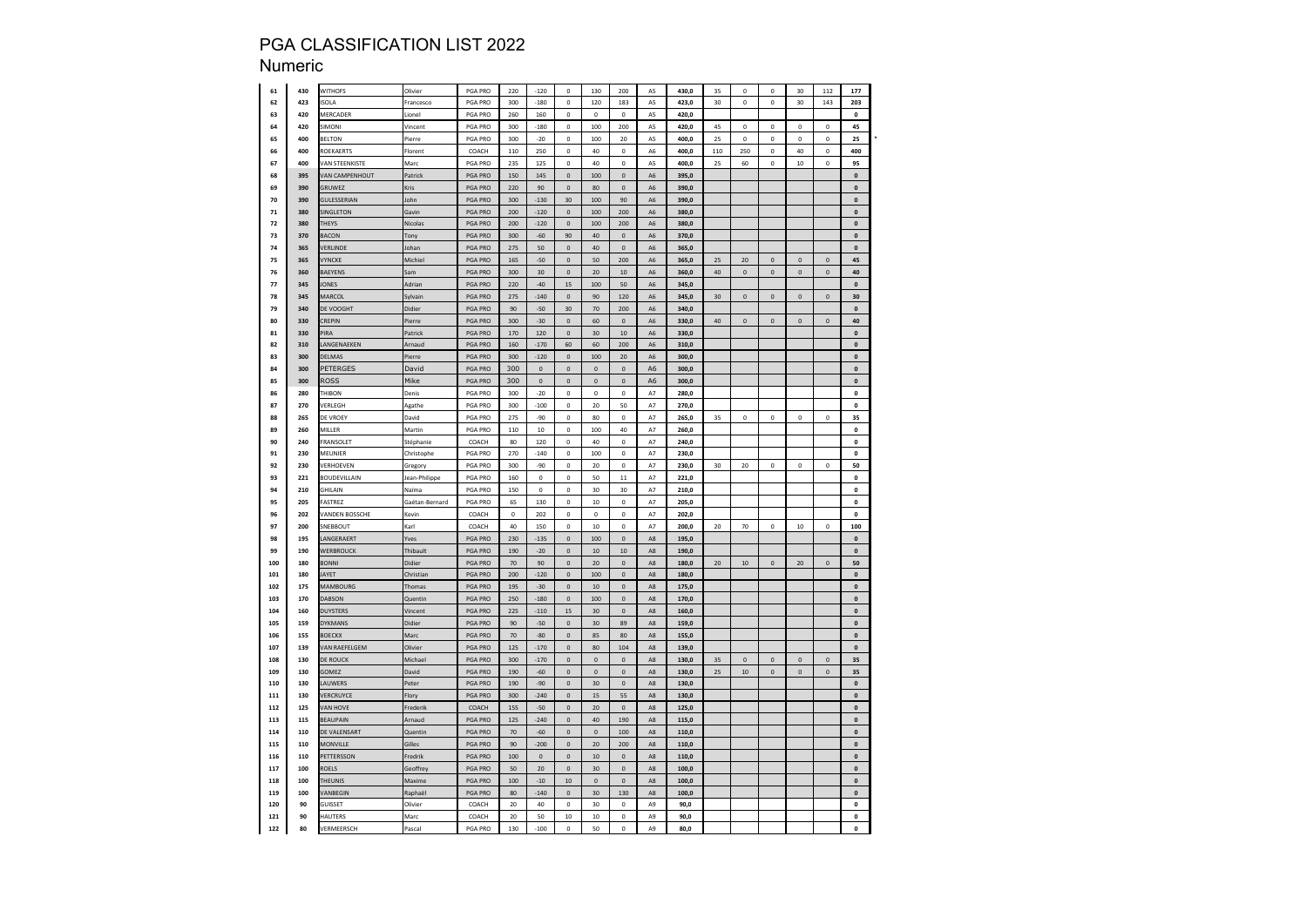| 61       | 430        | WITHOFS               | Olivier        | PGA PRO            | 220       | $-120$      | $\pmb{0}$    | 130                 | 200                 | A5                   | 430,0 | 35  | $\mathbf 0$ | $\mathbf 0$         | 30          | 112          | 177                                      |  |
|----------|------------|-----------------------|----------------|--------------------|-----------|-------------|--------------|---------------------|---------------------|----------------------|-------|-----|-------------|---------------------|-------------|--------------|------------------------------------------|--|
| 62       | 423        | SOLA                  | Francesco      | PGA PRO            | 300       | $-180$      | 0            | 120                 | 183                 | A5                   | 423,0 | 30  | $\mathbf 0$ | $\mathbf 0$         | 30          | 143          | 203                                      |  |
| 63       | 420        | MERCADER              | .ionel         | PGA PRO            | 260       | 160         | 0            | $\mathbf 0$         | $\mathbf 0$         | A5                   | 420,0 |     |             |                     |             |              | 0                                        |  |
| 64       | 420        | <b>SIMONI</b>         | Vincent        | PGA PRO            | 300       | $-180$      | 0            | 100                 | 200                 | A5                   | 420,0 | 45  | 0           | $\mathbf 0$         | 0           | $\mathbf 0$  | 45                                       |  |
| 65       | 400        | <b>BELTON</b>         | Pierre         | <b>PGA PRO</b>     | 300       | $-20$       | $\pmb{0}$    | 100                 | 20                  | A5                   | 400.0 | 25  | $\Omega$    | $\,$ 0              | $\Omega$    | $\pmb{0}$    | 25                                       |  |
| 66       | 400        | ROEKAERTS             | Florent        | COACH              | 110       | 250         | $\mathbf 0$  | 40                  | $\mathbf 0$         | A <sub>6</sub>       | 400.0 | 110 | 250         | $\mathbf 0$         | 40          | $\mathbf 0$  | 400                                      |  |
| 67       | 400        | <b>VAN STEENKISTE</b> | Marc           | PGA PRO            | 235       | 125         | $\pmb{0}$    | 40                  | $\pmb{0}$           | A5                   | 400,0 | 25  | 60          | $\mathbf 0$         | $10\,$      | $\pmb{0}$    | 95                                       |  |
| 68       | 395        | <b>AN CAMPENHOUT</b>  | Patrick        | PGA PRO            | 150       | 145         | 0            | 100                 | $\pmb{\mathsf{O}}$  | A6                   | 395,0 |     |             |                     |             |              | $\pmb{0}$                                |  |
| 69       | 390        | GRUWEZ                | Kris           | PGA PRO            | 220       | 90          | $\pmb{0}$    | 80                  | $\mathbf 0$         | A <sub>6</sub>       |       |     |             |                     |             |              | $\pmb{0}$                                |  |
|          |            |                       |                |                    |           |             |              |                     |                     |                      | 390,0 |     |             |                     |             |              |                                          |  |
| 70<br>71 | 390<br>380 | <b>GULESSERIAN</b>    | John           | PGA PRO<br>PGA PRO | 300       | $-130$      | 30           | 100                 | 90                  | A6<br>A <sub>6</sub> | 390,0 |     |             |                     |             |              | $\pmb{\mathsf{o}}$<br>$\pmb{\mathsf{o}}$ |  |
|          |            | SINGLETON             | Gavin          |                    | 200       | $-120$      | $\pmb{0}$    | 100                 | 200                 |                      | 380,0 |     |             |                     |             |              |                                          |  |
| 72       | 380        | <b>THEYS</b>          | Nicolas        | PGA PRO            | 200       | $-120$      | $\pmb{0}$    | 100                 | 200                 | A6                   | 380.0 |     |             |                     |             |              | $\mathbf{0}$                             |  |
| 73       | 370        | <b>BACON</b>          | Tony           | PGA PRO            | 300       | $-60$       | 90           | 40                  | $\mathbf 0$         | A6                   | 370,0 |     |             |                     |             |              | $\pmb{\mathsf{o}}$                       |  |
| 74       | 365        | VERLINDE              | Johan          | PGA PRO            | 275       | 50          | $\mathbf 0$  | 40                  | $\mathbf{0}$        | A6                   | 365,0 |     |             |                     |             |              | $\pmb{0}$                                |  |
| 75       | 365        | <b>/YNCKE</b>         | Michie         | PGA PRO            | 165       | $-50$       | 0            | 50                  | 200                 | A6                   | 365,0 | 25  | 20          | 0                   | $\bf 0$     | $\mathbf{0}$ | 45                                       |  |
| 76       | 360        | <b>BAEYENS</b>        | Sam            | PGA PRO            | 300       | 30          | $\pmb{0}$    | 20                  | $10\,$              | A6                   | 360,0 | 40  | $\pmb{0}$   | $\mathbf 0$         | $\pmb{0}$   | $\mathbf 0$  | 40                                       |  |
| 77       | 345        | <b>ONES</b>           | Adrian         | <b>PGA PRO</b>     | 220       | $-40$       | 15           | 100                 | 50                  | A <sub>6</sub>       | 345.0 |     |             |                     |             |              | $\pmb{\mathsf{o}}$                       |  |
| 78       | 345        | MARCOL                | Sylvain        | PGA PRO            | 275       | $-140$      | $\mathbf 0$  | 90                  | 120                 | A6                   | 345,0 | 30  | $\mathbf 0$ | $\mathsf{O}\xspace$ | $\mathbf 0$ | $\pmb{0}$    | 30                                       |  |
| 79       | 340        | DE VOOGHT             | Didier         | PGA PRO            | 90        | $-50$       | 30           | 70                  | 200                 | A6                   | 340,0 |     |             |                     |             |              | $\pmb{0}$                                |  |
| 80       | 330        | REPIN                 | Pierre         | PGA PRO            | 300       | -30         | 0            | 60                  | $\mathbf 0$         | A <sub>6</sub>       | 330,0 | 40  | $\mathbf 0$ | $\mathsf{o}\xspace$ | $\mathbf 0$ | $\theta$     | 40                                       |  |
| 81       | 330        | PIRA                  | Patrick        | PGA PRO            | 170       | 120         | $\pmb{0}$    | 30                  | $10\,$              | A6                   | 330,0 |     |             |                     |             |              | $\pmb{0}$                                |  |
| 82       | 310        | ANGENAEKEN            | Arnaud         | <b>PGA PRO</b>     | 160       | $-170$      | 60           | 60                  | 200                 | A <sub>6</sub>       | 310.0 |     |             |                     |             |              | $\pmb{\mathsf{o}}$                       |  |
| 83       | 300        | DELMAS                | Pierre         | PGA PRO            | 300       | $-120$      | $\mathbf{0}$ | 100                 | 20                  | A <sub>6</sub>       | 300.0 |     |             |                     |             |              | $\pmb{\mathsf{o}}$                       |  |
| 84       | 300        | PETERGES              | David          | PGA PRO            | 300       | $\pmb{0}$   | $\pmb{0}$    | $\pmb{0}$           | $\mathbf 0$         | A <sub>6</sub>       | 300,0 |     |             |                     |             |              | $\pmb{0}$                                |  |
| 85       | 300        | <b>ROSS</b>           | Mike           | PGA PRO            | 300       | $\mathbf 0$ | 0            | $\mathbf 0$         | $\mathbf 0$         | A <sub>6</sub>       | 300,0 |     |             |                     |             |              | $\pmb{\mathsf{o}}$                       |  |
| 86       | 280        | <b>THIBON</b>         | Denis          | PGA PRO            | 300       | $-20$       | 0            | $\circ$             | $\mathbf 0$         | A7                   | 280,0 |     |             |                     |             |              | $\pmb{\mathsf{o}}$                       |  |
| 87       | 270        | VERLEGH               | Agathe         | PGA PRO            | 300       | $-100$      | 0            | 20                  | 50                  | A7                   | 270,0 |     |             |                     |             |              | $\pmb{0}$                                |  |
| 88       | 265        | DE VROEY              | David          | <b>PGA PRO</b>     | 275       | $-90$       | $\mathbf 0$  | 80                  | $\Omega$            | A7                   | 265,0 | 35  | $\mathbf 0$ | $\mathsf{o}\,$      | $\Omega$    | $\pmb{0}$    | 35                                       |  |
| 89       | 260        | MILLER                | Martin         | <b>PGA PRO</b>     | 110       | 10          | $\pmb{0}$    | 100                 | 40                  | A7                   | 260.0 |     |             |                     |             |              | $\pmb{\mathsf{o}}$                       |  |
| 90       | 240        | <b>FRANSOLET</b>      | Stéphanie      | COACH              | 80        | 120         | 0            | 40                  | $\mathbf 0$         | A7                   | 240,0 |     |             |                     |             |              | $\pmb{\mathsf{o}}$                       |  |
|          |            | MEUNIER               |                |                    |           | $-140$      |              |                     | $\mathbf 0$         |                      |       |     |             |                     |             |              | $\pmb{\mathsf{o}}$                       |  |
| 91       | 230        |                       | Christophe     | PGA PRO            | 270       |             | 0            | 100                 |                     | A7                   | 230,0 |     |             |                     |             |              |                                          |  |
| 92       | 230        | <b>VERHOEVEN</b>      | Gregory        | PGA PRO            | 300       | -90         | 0            | 20                  | $\mathbf 0$         | A7                   | 230,0 | 30  | 20          | $\mathbf 0$         | 0           | $\pmb{0}$    | 50                                       |  |
| 93       | 221        | BOUDEVILLAIN          | Jean-Philippe  | PGA PRO            | 160       | $\mathbf 0$ | $\mathbf 0$  | 50                  | $11$                | A7                   | 221,0 |     |             |                     |             |              | $\pmb{0}$                                |  |
| 94       | 210        | <b>GHILAIN</b>        | Naīma          | <b>PGA PRO</b>     | 150       | $\mathbf 0$ | $\mathbf 0$  | 30                  | 30                  | A7                   | 210.0 |     |             |                     |             |              | $\pmb{\mathsf{o}}$                       |  |
| 95       | 205        | ASTREZ                | Gaétan-Bernard | PGA PRO            | 65        | 130         | $\pmb{0}$    | 10                  | $\mathbf 0$         | A7                   | 205,0 |     |             |                     |             |              | $\pmb{\mathsf{o}}$                       |  |
| 96       | 202        | <b>VANDEN BOSSCHE</b> | Kevin          | COACH              | $\pmb{0}$ | 202         | 0            | $\pmb{0}$           | $\mathbf 0$         | A7                   | 202,0 |     |             |                     |             |              | $\pmb{\mathsf{o}}$                       |  |
| 97       | 200        | <b>NEBBOUT</b>        | Karl           | COACH              | 40        | 150         | o            | 10                  | $\mathbf 0$         | A7                   | 200,0 | 20  | 70          | $\mathbf 0$         | 10          | $\mathbf 0$  | 100                                      |  |
| 98       | 195        | ANGERAERT             | Yves           | <b>PGA PRO</b>     | 230       | $-135$      | $\pmb{0}$    | 100                 | $\pmb{0}$           | A8                   | 195,0 |     |             |                     |             |              | $\mathbf 0$                              |  |
| 99       | 190        | <b>WERBROUCK</b>      | Thibault       | PGA PRO            | 190       | $-20$       | $\pmb{0}$    | 10                  | 10                  | A8                   | 190,0 |     |             |                     |             |              | $\pmb{\mathsf{o}}$                       |  |
| 100      | 180        | <b>BONNI</b>          | Didier         | PGA PRO            | 70        | 90          | $\mathbf 0$  | 20                  | $\mathsf{O}\xspace$ | A <sub>8</sub>       | 180.0 | 20  | 10          | $\mathbf{0}$        | 20          | $\mathbf 0$  | 50                                       |  |
| 101      | 180        | AYET                  | Christian      | PGA PRO            | 200       | $-120$      | $\mathbf 0$  | 100                 | $\mathfrak o$       | A8                   | 180,0 |     |             |                     |             |              | $\mathbf 0$                              |  |
| 102      | 175        | MAMBOURG              | Thomas         | PGA PRO            | 195       | $-30$       | 0            | $10$                | $\mathbf 0$         | A8                   | 175,0 |     |             |                     |             |              | $\pmb{\mathsf{o}}$                       |  |
| 103      | 170        | DABSON                | Quentin        | PGA PRO            | 250       | $-180$      | 0            | 100                 | $\mathbf{0}$        | A8                   | 170,0 |     |             |                     |             |              | $\mathbf{0}$                             |  |
| 104      | 160        | DUYSTERS              | Vincent        | PGA PRO            | 225       | $-110$      | 15           | 30                  | $\pmb{0}$           | A8                   | 160.0 |     |             |                     |             |              | $\pmb{\mathsf{o}}$                       |  |
| 105      | 159        | <b>DYKMANS</b>        | Didier         | PGA PRO            | 90        | $-50$       | $\mathbf 0$  | 30                  | 89                  | A <sub>8</sub>       | 159.0 |     |             |                     |             |              | $\pmb{\mathsf{o}}$                       |  |
| 106      | 155        | <b>BOECKX</b>         | Marc           | PGA PRO            | 70        | $-80$       | $\pmb{0}$    | 85                  | 80                  | A8                   | 155.0 |     |             |                     |             |              | $\mathbf 0$                              |  |
| 107      | 139        | <b>VAN RAEFELGEM</b>  | Olivier        | PGA PRO            | 125       | $-170$      | 0            | 80                  | 104                 | A <sub>8</sub>       | 139.0 |     |             |                     |             |              | $\pmb{0}$                                |  |
| 108      | 130        | DE ROUCK              | Michael        | PGA PRO            | 300       | $-170$      | $\pmb{0}$    | $\pmb{0}$           | $\mathbf 0$         | A8                   | 130,0 | 35  | $\pmb{0}$   | 0                   | $\bf 0$     | $\mathbf 0$  | 35                                       |  |
| 109      | 130        | <b>GOMEZ</b>          | David          | PGA PRO            | 190       | $-60$       | $\mathbf 0$  | $\pmb{0}$           | $\mathbf 0$         | A8                   | 130,0 | 25  | 10          | $\pmb{0}$           | $\mathbf 0$ | $\pmb{0}$    | 35                                       |  |
| 110      | 130        | AUWERS                | Peter          | PGA PRO            | 190       | $-90$       | $\mathbf 0$  | 30                  | $\pmb{0}$           | A8                   | 130,0 |     |             |                     |             |              | $\pmb{\mathsf{o}}$                       |  |
| 111      | 130        | <b>JERCRUYCE</b>      | Flory          | PGA PRO            | 300       | $-240$      | $\pmb{0}$    | 15                  | 55                  | A8                   | 130,0 |     |             |                     |             |              | $\pmb{\mathsf{o}}$                       |  |
| 112      | 125        | <b>VAN HOVE</b>       | Frederik       | COACH              | 155       | $-50$       | $\mathbf 0$  | 20                  | $\pmb{0}$           | A8                   | 125,0 |     |             |                     |             |              | $\pmb{\mathsf{o}}$                       |  |
| 113      | 115        | <b>BEAUPAIN</b>       | Arnaud         | PGA PRO            | 125       | $-240$      | $\pmb{0}$    | 40                  | 190                 | $\mathsf{A}8$        | 115,0 |     |             |                     |             |              | $\pmb{0}$                                |  |
| 114      | 110        | DE VALENSART          | Quentin        | <b>PGA PRO</b>     | 70        | $-60$       | $\mathbf 0$  | $\mathbf{0}$        | 100                 | A <sub>8</sub>       | 110,0 |     |             |                     |             |              | $\mathbf{0}$                             |  |
|          | 110        |                       | Gilles         |                    |           |             |              |                     |                     |                      |       |     |             |                     |             |              |                                          |  |
| 115      |            | MONVILLE              |                | <b>PGA PRO</b>     | 90        | $-200$      | $\pmb{0}$    | 20<br>10            | 200                 | A8                   | 110,0 |     |             |                     |             |              | $\pmb{0}$                                |  |
| 116      | 110        | PETTERSSON            | Fredrik        | <b>PGA PRO</b>     | 100       | $\mathbf 0$ | $\mathbf 0$  |                     | $\pmb{0}$           | A8                   | 110.0 |     |             |                     |             |              | $\pmb{\mathsf{o}}$                       |  |
| 117      | 100        | ROELS                 | Geoffrey       | PGA PRO            | 50        | 20          | $\mathbf{0}$ | 30                  | $\mathbf 0$         | A <sub>8</sub>       | 100,0 |     |             |                     |             |              | $\mathbf{0}$                             |  |
| 118      | 100        | THEUNIS               | Maxime         | PGA PRO            | 100       | $-10$       | 10           | $\mathsf{O}\xspace$ | $\mathbf 0$         | A <sub>8</sub>       | 100.0 |     |             |                     |             |              | $\mathbf 0$                              |  |
| 119      | 100        | <b>/ANBEGIN</b>       | Raphaë         | PGA PRO            | 80        | $-140$      | 0            | 30                  | 130                 | A8                   | 100,0 |     |             |                     |             |              | $\pmb{\mathsf{o}}$                       |  |
| 120      | 90         | <b>GUISSET</b>        | Olivier        | COACH              | 20        | 40          | $\mathbf{0}$ | 30                  | $\circ$             | A <sub>9</sub>       | 90,0  |     |             |                     |             |              | $\mathbf{0}$                             |  |
| 121      | 90         | HAUTERS               | Marc           | COACH              | 20        | 50          | 10           | 10                  | $\mathbf 0$         | A9                   | 90,0  |     |             |                     |             |              | o                                        |  |
| 122      | 80         | VERMEERSCH            | Pascal         | PGA PRO            | 130       | $-100$      | $\mathbf{0}$ | 50                  | $\mathfrak{o}$      | A9                   | 80,0  |     |             |                     |             |              | $\mathbf{o}$                             |  |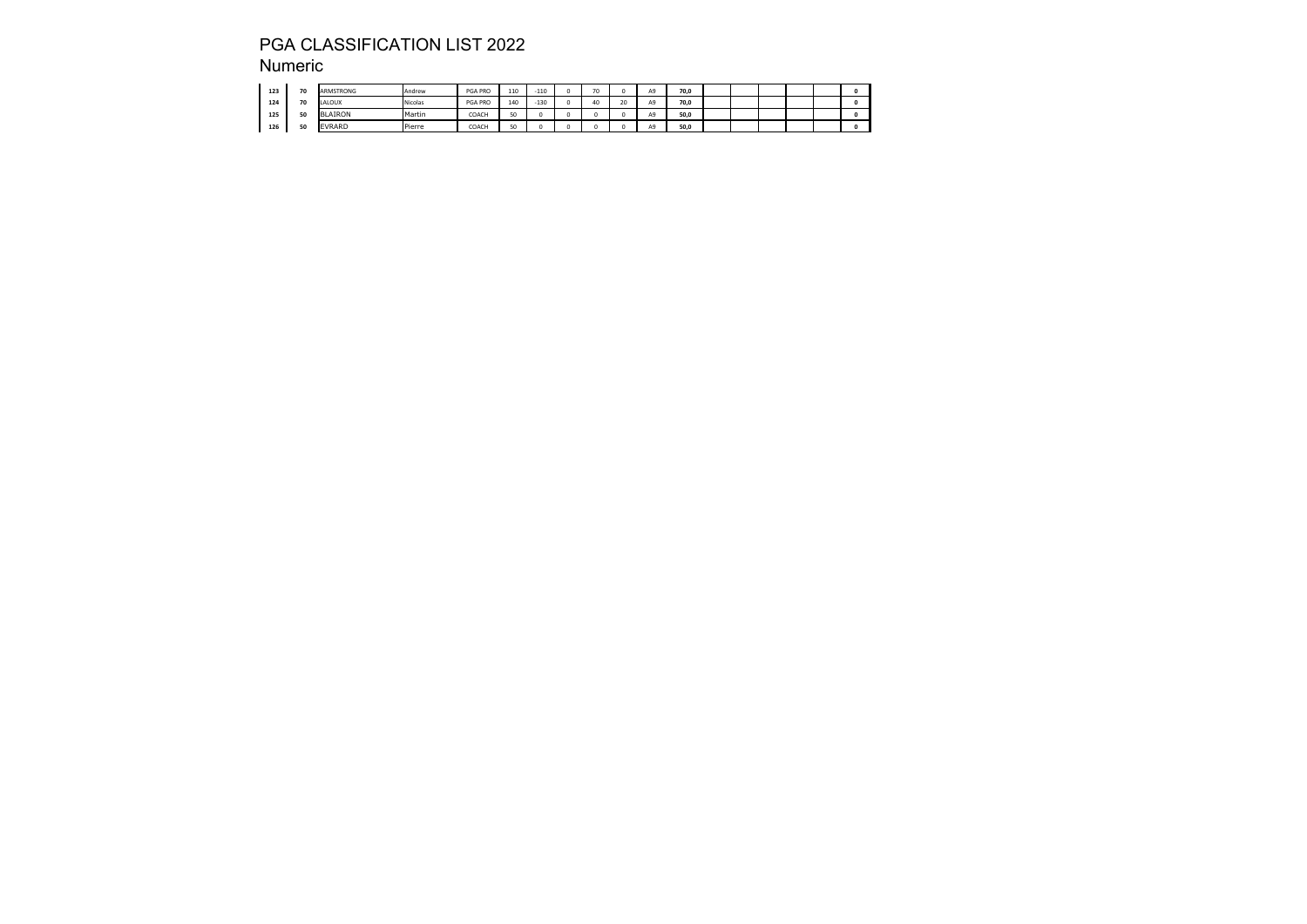| 123 | 70       | ARMSTRONG                    | Andrew  | <b>PGA PRO</b> | 110 | $-110$ | $\overline{ }$ |    | A9 | 70.0 |  |  |  |
|-----|----------|------------------------------|---------|----------------|-----|--------|----------------|----|----|------|--|--|--|
| 124 | 70       | LALOUX                       | Nicolas | <b>PGA PRO</b> | 140 | $-130$ | 40             | 20 | A9 | 70.0 |  |  |  |
| 125 | 50<br>u. | <b>JLAIRON</b><br><b>IRI</b> | Martin  | COACH          | EO. |        |                |    | A9 | 50.0 |  |  |  |
| 126 | 50<br>   | <b>EVRARD</b>                | Pierre  | COACH          | EO. |        |                |    | A9 | 50.0 |  |  |  |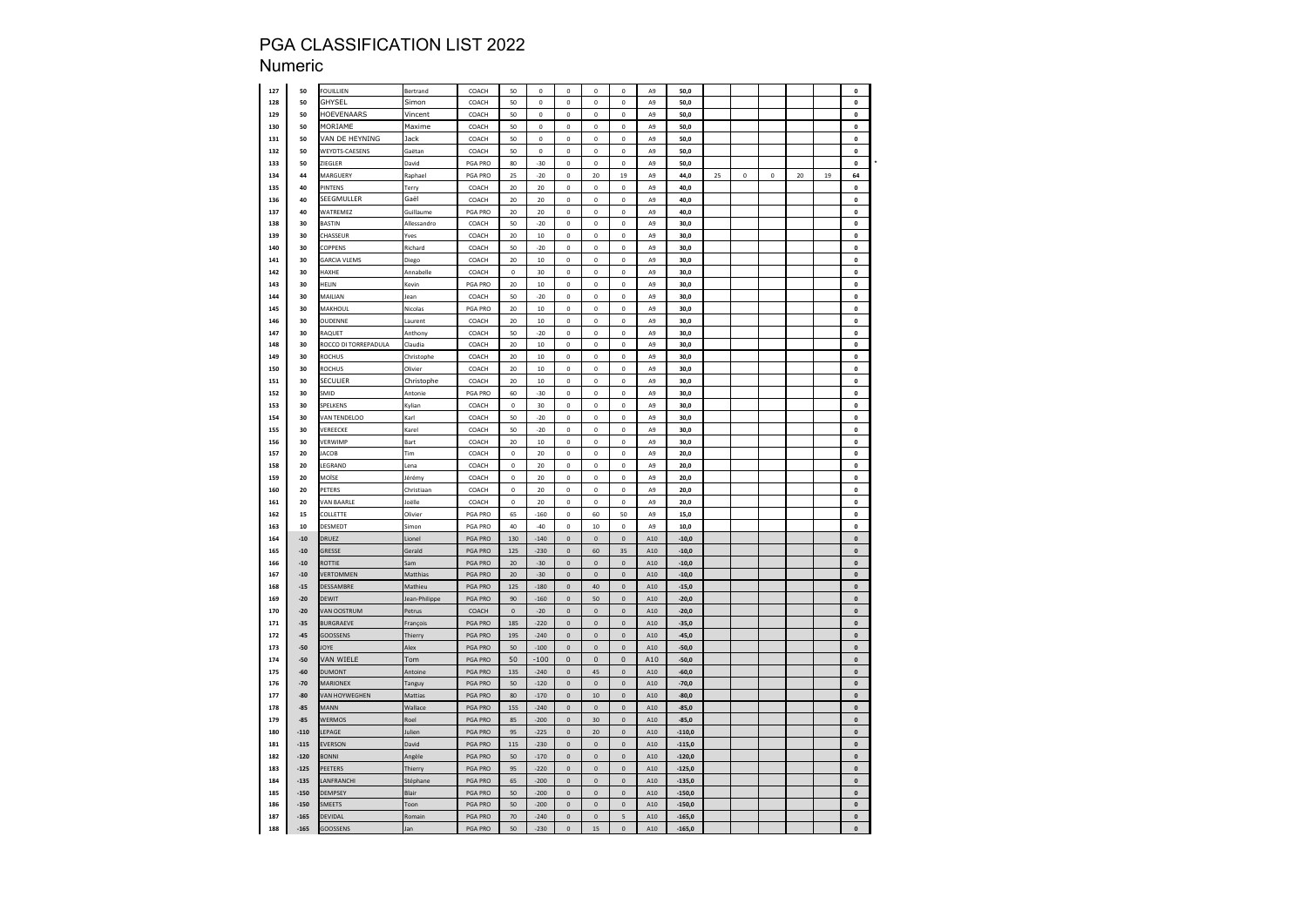| 127 | 50     | OUILLIEN                   | Bertrand      | COACH          | 50          | $\pmb{0}$   | $\mathbf{0}$       | $\mathbf 0$ | $\mathbf 0$              | A9             | 50,0     |    |           |   |    |    | $\mathbf{o}$       |  |
|-----|--------|----------------------------|---------------|----------------|-------------|-------------|--------------------|-------------|--------------------------|----------------|----------|----|-----------|---|----|----|--------------------|--|
| 128 | 50     | <b>GHYSEL</b>              | Simon         | COACH          | 50          | $\pmb{0}$   | 0                  | $\pmb{0}$   | $\mathbf 0$              | A9             | 50,0     |    |           |   |    |    | $\pmb{0}$          |  |
| 129 | 50     | <b>IOEVENAARS</b>          | Vincent       | COACH          | 50          | $\pmb{0}$   | 0                  | 0           | 0                        | A9             | 50,0     |    |           |   |    |    | $\pmb{0}$          |  |
| 130 | 50     | MORIAME                    | Maxime        | COACH          | 50          | $\pmb{0}$   | 0                  | 0           | 0                        | A9             | 50,0     |    |           |   |    |    | $\pmb{0}$          |  |
| 131 | 50     | /AN DE HEYNING             | Jack          | COACH          | 50          | $\mathbf 0$ | $\pmb{0}$          | $\pmb{0}$   | $\mathbf 0$              | A9             | 50.0     |    |           |   |    |    | $\mathbf{0}$       |  |
| 132 | 50     | WEYDTS-CAESENS             | Gaëtan        | COACH          | 50          | $\mathbf 0$ | $\mathbf 0$        | $\mathbf 0$ | $\mathbf 0$              | A <sub>9</sub> | 50.0     |    |           |   |    |    | $\pmb{\mathsf{o}}$ |  |
| 133 | 50     | ZIEGLER                    | David         | PGA PRO        | 80          | -30         | 0                  | 0           | $\mathbf 0$              | A9             | 50,0     |    |           |   |    |    | $\pmb{0}$          |  |
| 134 | 44     | MARGUERY                   | Raphael       | PGA PRO        | 25          | $-20$       | 0                  | 20          | 19                       | A9             | 44,0     | 25 | $\pmb{0}$ | 0 | 20 | 19 | 64                 |  |
|     |        |                            |               |                |             |             |                    |             |                          |                |          |    |           |   |    |    |                    |  |
| 135 | 40     | INTENS                     | Terry         | COACH          | $20\,$      | 20          | 0                  | 0           | 0                        | A9             | 40,0     |    |           |   |    |    | 0                  |  |
| 136 | 40     | EEGMULLER                  | Gaël          | COACH          | 20          | 20          | 0                  | 0           | $\mathbf 0$              | A <sub>9</sub> | 40,0     |    |           |   |    |    | $\pmb{0}$          |  |
| 137 | 40     | WATREMEZ                   | Guillaume     | PGA PRO        | 20          | 20          | $\mathbf 0$        | $\circ$     | 0                        | A <sub>9</sub> | 40,0     |    |           |   |    |    | $\mathbf{0}$       |  |
| 138 | 30     | <b>BASTIN</b>              | Allessandro   | COACH          | 50          | $-20$       | $\mathbf 0$        | $\mathbf 0$ | $\mathbf 0$              | A9             | 30,0     |    |           |   |    |    | $\pmb{\mathsf{o}}$ |  |
| 139 | 30     | <b>HASSEUR</b>             | Yves          | COACH          | 20          | 10          | 0                  | 0           | $\mathbf 0$              | A9             | 30,0     |    |           |   |    |    | $\pmb{0}$          |  |
| 140 | 30     | <b>COPPENS</b>             | Richard       | COACH          | 50          | $-20$       | 0                  | $\mathbf 0$ | $\mathsf 0$              | A9             | 30,0     |    |           |   |    |    | 0                  |  |
| 141 | 30     | <b>ARCIA VLEMS</b>         | Diego         | COACH          | 20          | 10          | 0                  | 0           | $\mathbf 0$              | A9             | 30,0     |    |           |   |    |    | $\pmb{0}$          |  |
| 142 | 30     | <b>JAXHE</b>               | Annabelle     | COACH          | 0           | 30          | 0                  | $\pmb{0}$   | $\mathbf 0$              | A9             | 30,0     |    |           |   |    |    | $\mathbf{0}$       |  |
| 143 | 30     | ELIN                       | Kevin         | <b>PGA PRO</b> | 20          | 10          | $\pmb{0}$          | $\mathbf 0$ | $\mathbf 0$              | A9             | 30.0     |    |           |   |    |    | $\pmb{\mathsf{o}}$ |  |
| 144 | 30     | MAILIAN                    | Jean          | COACH          | 50          | $-20$       | 0                  | 0           | $\mathbf 0$              | A9             | 30,0     |    |           |   |    |    | 0                  |  |
| 145 | 30     | MAKHOUL                    | Nicolas       | PGA PRO        | $20\,$      | 10          | $\mathbf 0$        | $\mathbf 0$ | $\mathbf 0$              | A9             | 30,0     |    |           |   |    |    | $\pmb{0}$          |  |
| 146 | 30     | <b>OUDENNE</b>             | aurent        | COACH          | 20          | 10          | 0                  | 0           | $\mathbf 0$              | A9             | 30,0     |    |           |   |    |    | $\pmb{0}$          |  |
| 147 | 30     | AQUET                      |               | COACH          | 50          | $-20$       | $\pmb{0}$          | $\pmb{0}$   | 0                        | A9             | 30,0     |    |           |   |    |    | $\pmb{0}$          |  |
|     |        |                            | Anthony       |                | 20          | 10          | $\pmb{0}$          | $\mathbf 0$ | 0                        | A <sub>9</sub> | 30.0     |    |           |   |    |    | $\pmb{\mathsf{o}}$ |  |
| 148 | 30     | <b>OCCO DI TORREPADULA</b> | Claudia       | COACH          |             |             |                    |             |                          |                |          |    |           |   |    |    |                    |  |
| 149 | 30     | ROCHUS                     | Christophe    | COACH          | 20          | 10          | $\pmb{0}$          | $\mathbf 0$ | $\mathbf 0$              | A <sub>9</sub> | 30.0     |    |           |   |    |    | $\pmb{\mathsf{o}}$ |  |
| 150 | 30     | ROCHUS                     | Olivier       | COACH          | 20          | $10\,$      | 0                  | 0           | 0                        | A9             | 30,0     |    |           |   |    |    | $\pmb{0}$          |  |
| 151 | 30     | ECULIER                    | Christophe    | COACH          | 20          | 10          | $\mathbf{0}$       | o           | $\mathbf 0$              | A <sub>9</sub> | 30,0     |    |           |   |    |    | $\pmb{\mathsf{o}}$ |  |
| 152 | 30     | MID                        | Antonie       | PGA PRO        | 60          | $-30$       | 0                  | 0           | 0                        | A9             | 30,0     |    |           |   |    |    | $\pmb{0}$          |  |
| 153 | 30     | PELKENS                    | Kylian        | COACH          | $\pmb{0}$   | 30          | $\mathbf 0$        | $\theta$    | $\mathbf 0$              | A9             | 30.0     |    |           |   |    |    | $\mathbf{0}$       |  |
| 154 | 30     | <b>VAN TENDELOO</b>        | Karl          | COACH          | 50          | $-20$       | $\mathbf 0$        | $\circ$     | 0                        | A <sub>9</sub> | 30.0     |    |           |   |    |    | $\pmb{\mathsf{o}}$ |  |
| 155 | 30     | VEREECKE                   | Karel         | COACH          | 50          | $-20$       | $\mathbf 0$        | $\mathbf 0$ | $\bf{0}$                 | A9             | 30,0     |    |           |   |    |    | $\pmb{0}$          |  |
| 156 | 30     | <b>ERWIMP</b>              | Bart          | COACH          | 20          | 10          | 0                  | 0           | $\mathbf 0$              | A9             | 30,0     |    |           |   |    |    | $\pmb{\mathsf{o}}$ |  |
| 157 | 20     | ACOB                       | Tim           | COACH          | $\pmb{0}$   | 20          | 0                  | 0           | $\mathbf 0$              | A9             | 20,0     |    |           |   |    |    | $\pmb{0}$          |  |
| 158 | 20     | EGRAND                     | ena           | COACH          | $\pmb{0}$   | 20          | 0                  | $\pmb{0}$   | $\mathbf 0$              | A9             | 20,0     |    |           |   |    |    | $\pmb{0}$          |  |
| 159 | 20     | MOÏSE                      | Jérémy        | COACH          | $\Omega$    | 20          | $\pmb{0}$          | $\Omega$    | $\Omega$                 | A9             | 20,0     |    |           |   |    |    | $\mathbf{0}$       |  |
| 160 | 20     | <b>ETERS</b>               | Christiaan    | COACH          | $\mathbf 0$ | 20          | $\mathbf 0$        | $\mathbf 0$ | $\mathbf 0$              | A9             | 20,0     |    |           |   |    |    | $\pmb{\mathsf{o}}$ |  |
| 161 | 20     | AN BAARLE                  | loëlle        | COACH          | $\bf{0}$    | 20          | 0                  | 0           | $\mathbf 0$              | A9             | 20,0     |    |           |   |    |    | 0                  |  |
|     |        |                            |               |                |             |             |                    |             |                          |                |          |    |           |   |    |    |                    |  |
| 162 | 15     | <b>COLLETTE</b>            | Olivier       | PGA PRO        | 65          | $-160$      | 0                  | 60          | 50                       | A9             | 15,0     |    |           |   |    |    | $\pmb{\mathsf{o}}$ |  |
| 163 | 10     | DESMEDT                    | Simon         | PGA PRO        | 40          | $-40$       | 0                  | 10          | $\mathbf 0$              | A9             | 10,0     |    |           |   |    |    | $\pmb{0}$          |  |
| 164 | $-10$  | RUEZ                       | .ionel        | <b>PGA PRO</b> | 130         | $-140$      | $\mathbf 0$        | $\mathbf 0$ | $\mathbf 0$              | A10            | $-10,0$  |    |           |   |    |    | $\mathbf{0}$       |  |
| 165 | $-10$  | RESSE                      | Gerald        | <b>PGA PRO</b> | 125         | $-230$      | $\mathbf 0$        | 60          | 35                       | A10            | $-10,0$  |    |           |   |    |    | $\pmb{\mathsf{o}}$ |  |
| 166 | $-10$  | <b>OTTIE</b>               | sim           | PGA PRO        | 20          | $-30$       | $\mathbf 0$        | 0           | $\mathbf{0}$             | A10            | $-10,0$  |    |           |   |    |    | $\mathbf{o}$       |  |
| 167 | $-10$  | <b>ERTOMMEN</b>            | Matthias      | PGA PRO        | 20          | $-30$       | $\mathbf 0$        | $\mathbf 0$ | $\mathsf{O}\xspace$      | A10            | $-10,0$  |    |           |   |    |    | 0                  |  |
| 168 | $-15$  | DESSAMBRE                  | Mathieu       | PGA PRO        | 125         | $-180$      | 0                  | 40          | $\pmb{\mathsf{O}}$       | A10            | $-15,0$  |    |           |   |    |    | $\pmb{0}$          |  |
| 169 | $-20$  | <b>DEWIT</b>               | lean-Philippe | <b>PGA PRO</b> | 90          | $-160$      | $\pmb{0}$          | 50          | $\mathbf 0$              | A10            | $-20,0$  |    |           |   |    |    | $\pmb{0}$          |  |
| 170 | $-20$  | AN OOSTRUM                 | Petrus        | COACH          | $\pmb{0}$   | $-20$       | $\pmb{\mathsf{O}}$ | $\mathbf 0$ | $\mathbf 0$              | A10            | $-20,0$  |    |           |   |    |    | $\pmb{\mathsf{o}}$ |  |
| 171 | $-35$  | URGRAEVE                   | François      | PGA PRO        | 185         | $-220$      | $\mathbf 0$        | o           | $\mathbf 0$              | A10            | $-35,0$  |    |           |   |    |    | $\mathbf{o}$       |  |
| 172 | $-45$  | <b>GOOSSENS</b>            | Thierry       | PGA PRO        | 195         | $-240$      | $\mathbf 0$        | $\mathbf 0$ | $\mathbf 0$              | A10            | $-45,0$  |    |           |   |    |    | $\pmb{0}$          |  |
| 173 | $-50$  | OYE                        | Alex          | PGA PRO        | 50          | $-100$      | 0                  | o           | $\mathbf 0$              | A10            | $-50,0$  |    |           |   |    |    | $\mathbf 0$        |  |
| 174 | $-50$  | <b>/AN WIELE</b>           | Tom           | <b>PGA PRO</b> | 50          | $-100$      | $\pmb{0}$          | $\pmb{0}$   | 0                        | A10            | $-50,0$  |    |           |   |    |    | $\pmb{0}$          |  |
| 175 | $-60$  | <b>UMONT</b>               | Antoine       | <b>PGA PRO</b> | 135         | $-240$      | $\mathbf{0}$       | 45          | $\mathsf{O}\xspace$      | A10            | $-60,0$  |    |           |   |    |    | $\mathbf{0}$       |  |
| 176 | $-70$  | <b>ARIONEX</b>             | Tanguy        | PGA PRO        | 50          | $-120$      | $\mathbf{0}$       | $\mathbf 0$ | $\mathsf{O}\xspace$      | A10            | $-70,0$  |    |           |   |    |    | $\pmb{\mathsf{o}}$ |  |
| 177 | $-80$  | AN HOYWEGHEN               | Mattias       | PGA PRO        | 80          | $-170$      | $\mathbf 0$        | 10          | $\circ$                  | A10            | $-80,0$  |    |           |   |    |    | $\pmb{0}$          |  |
|     |        |                            |               |                |             |             |                    |             |                          |                |          |    |           |   |    |    | $\mathbf{0}$       |  |
| 178 | $-85$  | <b>ANN</b>                 | Wallace       | PGA PRO        | 155         | $-240$      | $\pmb{\mathsf{O}}$ | 0           | $\mathbf 0$              | A10            | $-85,0$  |    |           |   |    |    |                    |  |
| 179 | $-85$  | VERMOS                     | Roel          | PGA PRO        | 85          | $-200$      | $\pmb{0}$          | 30          | $\pmb{0}$                | A10            | -85,0    |    |           |   |    |    | 0                  |  |
| 180 | $-110$ | EPAGE                      | Julien        | PGA PRO        | 95          | $-225$      | $\mathbf{0}$       | 20          | $\mathbf 0$              | A10            | $-110,0$ |    |           |   |    |    | $\pmb{\mathsf{o}}$ |  |
| 181 | $-115$ | VERSON                     | David         | PGA PRO        | 115         | $-230$      | $\pmb{0}$          | $\pmb{0}$   | $\mathbf 0$              | A10            | $-115,0$ |    |           |   |    |    | $\mathbf{0}$       |  |
| 182 | $-120$ | ONNI                       | Angèle        | <b>PGA PRO</b> | 50          | $-170$      | $\mathbf 0$        | $\mathbf 0$ | $\mathsf{O}\xspace$      | A10            | $-120,0$ |    |           |   |    |    | $\mathbf 0$        |  |
| 183 | $-125$ | <b>EETERS</b>              | Thierry       | PGA PRO        | 95          | $-220$      | $\mathbf 0$        | 0           | $\mathbf 0$              | A10            | $-125,0$ |    |           |   |    |    | $\pmb{\mathsf{o}}$ |  |
| 184 | $-135$ | ANFRANCHI                  | Stéphane      | PGA PRO        | 65          | $-200$      | $\mathbf{0}$       | 0           | $\mathbf 0$              | A10            | $-135,0$ |    |           |   |    |    | 0                  |  |
| 185 | $-150$ | <b>EMPSEY</b>              | Blair         | PGA PRO        | 50          | $-200$      | 0                  | $\pmb{0}$   | $\mathbf 0$              | A10            | $-150,0$ |    |           |   |    |    | $\pmb{0}$          |  |
| 186 | $-150$ | <b>MEETS</b>               | Toon          | <b>PGA PRO</b> | $50\,$      | $-200$      | $\pmb{0}$          | $\pmb{0}$   | $\mathbf 0$              | A10            | $-150,0$ |    |           |   |    |    | $\pmb{\mathsf{o}}$ |  |
| 187 | $-165$ | EVIDAL                     | Romain        | PGA PRO        | 70          | $-240$      | $\mathbf 0$        | $\mathbf 0$ | $\overline{\phantom{a}}$ | A10            | $-165,0$ |    |           |   |    |    | $\mathbf 0$        |  |
| 188 | $-165$ | <b>GOOSSENS</b>            | Jan           | PGA PRO        | 50          | $-230$      | $\mathbf{0}$       | 15          | $\circ$                  | A10            | $-165,0$ |    |           |   |    |    | $\mathbf{o}$       |  |